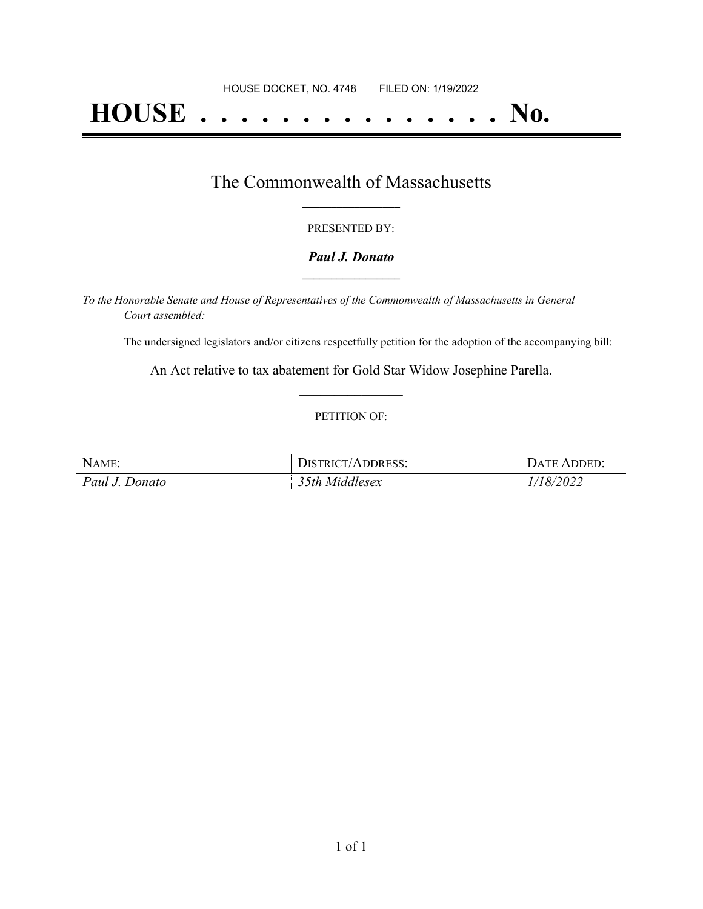# **HOUSE . . . . . . . . . . . . . . . No.**

### The Commonwealth of Massachusetts **\_\_\_\_\_\_\_\_\_\_\_\_\_\_\_\_\_**

#### PRESENTED BY:

#### *Paul J. Donato* **\_\_\_\_\_\_\_\_\_\_\_\_\_\_\_\_\_**

*To the Honorable Senate and House of Representatives of the Commonwealth of Massachusetts in General Court assembled:*

The undersigned legislators and/or citizens respectfully petition for the adoption of the accompanying bill:

An Act relative to tax abatement for Gold Star Widow Josephine Parella. **\_\_\_\_\_\_\_\_\_\_\_\_\_\_\_**

#### PETITION OF:

| NAME:          | DISTRICT/ADDRESS: | DATE ADDED: |
|----------------|-------------------|-------------|
| Paul J. Donato | 35th Middlesex    | 1/18/2022   |